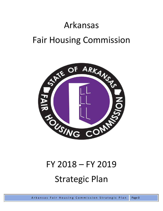# Arkansas Fair Housing Commission



# FY 2018 – FY 2019 Strategic Plan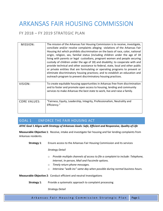## ARKANSAS FAIR HOUSING COMMISSION

## FY 2018 – FY 2019 STRATEGIC PLAN

| MISSION:            | The mission of the Arkansas Fair Housing Commission is to receive, investigate,<br>conciliate and/or resolve complaints alleging violations of the Arkansas Fair<br>Housing Act which prohibits discrimination on the basis of race, color, national<br>origin, religion, sex, familial status (including children under the age of 18<br>living with parents or legal custodians, pregnant women and people securing<br>custody of children under the age of 18) and disability; to cooperate with and<br>provide technical and other assistance to federal, state, local and other public<br>or private entities that are formulating or operating programs to prevent or<br>eliminate discriminatory housing practices; and to establish an education and<br>outreach program to prevent discriminatory housing practices. |
|---------------------|-------------------------------------------------------------------------------------------------------------------------------------------------------------------------------------------------------------------------------------------------------------------------------------------------------------------------------------------------------------------------------------------------------------------------------------------------------------------------------------------------------------------------------------------------------------------------------------------------------------------------------------------------------------------------------------------------------------------------------------------------------------------------------------------------------------------------------|
| VISION:             | To create equitable housing opportunities in Arkansas free from discrimination<br>and to foster and promote open access to housing, lending and community<br>services to make Arkansas the best state to work, live and raise a family.                                                                                                                                                                                                                                                                                                                                                                                                                                                                                                                                                                                       |
| <b>CORE VALUES:</b> | "Fairness, Equity, Leadership, Integrity, Professionalism, Neutrality and<br>Efficiency."                                                                                                                                                                                                                                                                                                                                                                                                                                                                                                                                                                                                                                                                                                                                     |

## GOAL 1 ENFORCE THE FAIR HOUSING ACT

*AFHC Goal 1 Aligns with Strategy of Arkansas Goals: Safe, Efficient and Responsive, Quality of Life*

**Measurable Objective 1**:Receive, intake and investigate fair housing and fair lending complaints from Arkansas residents.

**Strategy 1**: Ensure access to the Arkansas Fair Housing Commission and its services

*Strategy Detail* 

- o *Provide multiple channels of access to file a complaint to include: Telephone, Internet, In-person, Mail and Facsimile options.*
- o *Timely return phone messages.*
- o *Interview "walk-ins" same day when possible during normal business hours.*

**Measurable Objective 2**: Conduct efficient and neutral Investigations

**Strategy 1:** Provide a systematic approach to complaint processing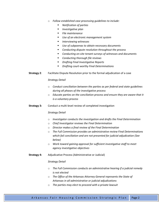- o *Follow established case processing guidelines to include:*
	- *Notification of parties*
	- *Investigative plan*
	- *File maintenance*
	- *Use of an electronic management system*
	- *Interviewing witnesses*
	- *Use of subpoenas to obtain necessary documents*
	- *Conducting dispute resolution throughout the process*
	- *Conducting on-site tenant surveys of witnesses and documents*
	- *Conducting thorough file reviews*
	- *Drafting Final Investigative Reports*
	- *Drafting court-worthy Final Determinations*
- **Strategy 2**: Facilitate Dispute Resolution prior to the formal adjudication of a case

#### *Strategy Detail*

- o *Conduct conciliation between the parties as per federal and state guidelines during all phases of the investigative process*
- o *Educate parties on the conciliation process and ensure they are aware that it is a voluntary process*
- **Strategy 3:** Conduct a multi-level review of completed investigation

## *Strategy Detail*

- o *Investigator conducts the investigation and drafts the Final Determination*
- o *Chief Investigator reviews the Final Determination*
- o *Director makes a final review of the Final Determination*
- o *The Full Commission provides an administrative review Final Determinations which fail conciliation and are not presented for judicial adjudication (See below)*
- o *Work toward gaining approval for sufficient investigative staff to meet agency investigative objectives*
- **Strategy 4:** Adjudicative Process (Administrative or Judicial)

- o *The Full Commission conducts an administrative hearing if a judicial remedy is not elected*
- o *The Office of the Arkansas Attorney General represents the State of Arkansas in all administrative or judicial adjudications*
- o *The parties may elect to proceed with a private lawsuit*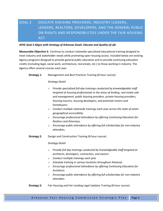## GOAL 2 EDUCATE HOUSING PROVIDERS, INDUSTRY LEADERS, LENDERS, REALTORS, DEVELOPERS, AND THE GENERAL PUBLIC ON RIGHTS AND RESPONSIBILITIES UNDER THE FAIR HOUSING ACT

## *AFHC Goal 2 Aligns with Strategy of Arkansas Goals: Educate and Quality of Life*

**Measurable Objective 3:** Continue to conduct statewide specialized educational training designed to meet industry and stakeholder needs while promoting open housing access. Included below are existing Agency programs designed to provide general public education and to provide continuing education credits (including legal, social work, architecture, real estate, etc.) to those working in industry. The Agency offers several courses each year.

## **Strategy 1:** Management and Best Practices Training (8-hour course)

## *Strategy Detail*

- o *Provide specialized full-day trainings conducted by knowledgeable staff targeted at housing professionals in the areas of lending, real estate sale and management, public housing providers, private housing providers, housing insurers, housing developers, and potential renters and homebuyers.*
- o *Conduct multiple statewide trainings each year across the state of easier geographical accessibility.*
- o *Encourage professional attendance by offering Continuing Education for Realtors and Attorneys.*
- o *Encourage public attendance by offering full scholarships for non-industry attendees.*
- **Strategy 2:** Design and Construction Training (8-hour course)

- o *Provide full day trainings conducted by knowledgeable staff targeted at architects, developers, contractors, and owners*
- o *Conduct multiple trainings each year*
- o *Schedule training in various locations throughout Arkansas*
- o *Encourage professional attendance by offering Continuing Education for Architects*
- o *Encourage public attendance by offering full scholarships for non-industry attendees*
- **Strategy 3:** Fair Housing and Fair Lending Legal Updates Training (8-hour course)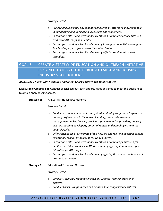## *Strategy Detail*

- o *Provide annually a full-day seminar conducted by attorneys knowledgeable in fair housing and fair lending laws, rules and regulations.*
- o *Encourage professional attendance by offering Continuing Legal Education credits for Attorneys and Realtors.*
- o *Encourage attendance by all audiences by hosting national Fair Housing and Fair Lending experts from across the United States.*
- o *Encourage attendance by all audiences by offering seminar at no cost to attendees.*

## GOAL 3 CREATE A STATEWIDE EDUCATION AND OUTREACH INITIATIVE DESIGNED TO REACH THE PUBLIC AT-LARGE AND HOUSING INDUSTRY STAKEHOLDERS

## *AFHC Goal 3 Aligns with Strategy of Arkansas Goals: Educate and Quality of Life*

**Measurable Objective 4:** Conduct specialized outreach opportunities designed to meet the public need to obtain open housing access.

## **Strategy 1:** Annual Fair Housing Conference

## *Strategy Detail*

- o *Conduct an annual, nationally recognized, multi-day conference targeted at housing professionals in the areas of lending, real estate sale and management, public housing providers, private housing providers, housing insurers, housing developers, potential renters and homebuyers, and the general public.*
- o *Offer sessions on a vast variety of fair housing and fair lending issues taught by national experts from across the United States.*
- o *Encourage professional attendance by offering Continuing Education for Realtors, Architects and Social Workers, and by offering Continuing Legal Education for Attorneys.*
- o *Encourage attendance by all audiences by offering this annual conference at no cost to attendees.*
- **Strategy 2:** Educational Tours and Outreach

- o *Conduct Town Hall Meetings in each of Arkansas' four congressional districts.*
- o *Conduct Focus Groups in each of Arkansas' four congressional districts.*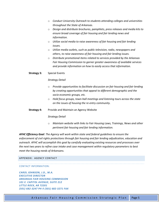- o *Conduct University Outreach to students attending colleges and universities throughout the State of Arkansas.*
- o *Design and distribute brochures, pamphlets, press releases and media kits to ensure broad coverage of fair housing and fair lending news and information.*
- o *Utilize social media to raise awareness of fair housing and fair lending issues.*
- o *Utilize media outlets, such as public television, radio, newspapers and others, to raise awareness of fair housing and fair lending issues.*
- o *Distribute promotional items related to services provided by the Arkansas Fair Housing Commission to garner greater awareness of available services and provide information on how to easily access that information.*

## **Strategy 3:** Special Events

## *Strategy Detail*

- o *Provide opportunities to facilitate discussion on fair housing and fair lending by creating opportunities that appeal to different demographic and the socio-economic groups, etc.*
- o *Hold focus groups, town-hall meetings and listening tours across the state on the issues of housing the re-entry community.*

## **Strategy 4:** Provide and Maintain an Agency Website

## *Strategy Detail*

o *Maintain website with links to Fair Housing Laws, Trainings, News and other pertinent fair housing and fair lending information.*

*AFHC Efficiency Goal*: *The Agency will work within state and federal guidelines to ensure the enforcement of civil rights protections through fair housing and fair lending adjudication, education and outreach. AFHC will accomplish this goal by carefully evaluating existing resources and processes over the next two years to refine case intake and case management within regulatory parameters to best meet the housing needs of Arkansans.* 

## APPENDIX: AGENCY CONTACT

#### CONTACT INFORMATION:

*CAROL JOHNSON, J.D., M.A. EXECUTIVE DIRECTOR ARKANSAS FAIR HOUSING COMMISSION 101 E. CAPITOL AVENUE, SUITE 212 LITTLE ROCK, AR 72201 (501) 682-3247 PH ◊ (501) 682-3271 FAX*